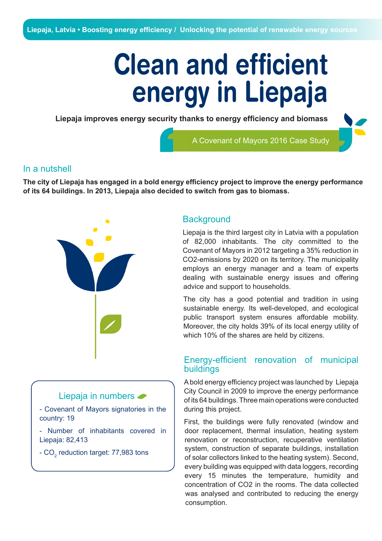# **Clean and efficient energy in Liepaja**

**Liepaja improves energy security thanks to energy efficiency and biomass** 

A Covenant of Mayors 2016 Case Study

#### In a nutshell

**The city of Liepaja has engaged in a bold energy efficiency project to improve the energy performance of its 64 buildings. In 2013, Liepaja also decided to switch from gas to biomass.**



Liepaja is the third largest city in Latvia with a population of 82,000 inhabitants. The city committed to the Covenant of Mayors in 2012 targeting a 35% reduction in CO2-emissions by 2020 on its territory. The municipality employs an energy manager and a team of experts dealing with sustainable energy issues and offering advice and support to households.

The city has a good potential and tradition in using sustainable energy. Its well-developed, and ecological public transport system ensures affordable mobility. Moreover, the city holds 39% of its local energy utility of which 10% of the shares are held by citizens.

## Energy-efficient renovation of municipal buildings

A bold energy efficiency project was launched by Liepaja City Council in 2009 to improve the energy performance of its 64 buildings. Three main operations were conducted during this project.

First, the buildings were fully renovated (window and door replacement, thermal insulation, heating system renovation or reconstruction, recuperative ventilation system, construction of separate buildings, installation of solar collectors linked to the heating system). Second, every building was equipped with data loggers, recording every 15 minutes the temperature, humidity and concentration of CO2 in the rooms. The data collected was analysed and contributed to reducing the energy consumption.

### Liepaja in numbers <

- Covenant of Mayors signatories in the country: 19

- Number of inhabitants covered in Liepaja: 82,413

- CO $_{\textrm{\tiny{2}}}$  reduction target: 77,983 tons